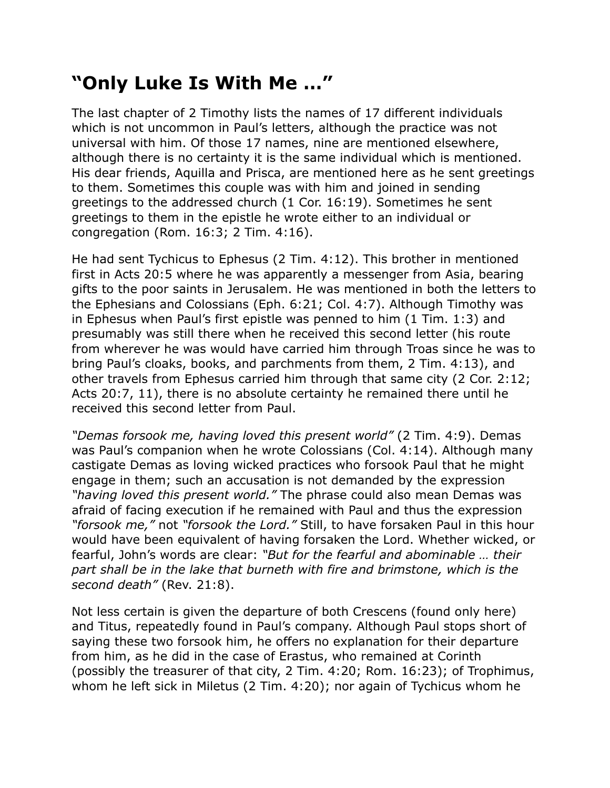## **"Only Luke Is With Me …"**

The last chapter of 2 Timothy lists the names of 17 different individuals which is not uncommon in Paul's letters, although the practice was not universal with him. Of those 17 names, nine are mentioned elsewhere, although there is no certainty it is the same individual which is mentioned. His dear friends, Aquilla and Prisca, are mentioned here as he sent greetings to them. Sometimes this couple was with him and joined in sending greetings to the addressed church (1 Cor. 16:19). Sometimes he sent greetings to them in the epistle he wrote either to an individual or congregation (Rom. 16:3; 2 Tim. 4:16).

He had sent Tychicus to Ephesus (2 Tim. 4:12). This brother in mentioned first in Acts 20:5 where he was apparently a messenger from Asia, bearing gifts to the poor saints in Jerusalem. He was mentioned in both the letters to the Ephesians and Colossians (Eph. 6:21; Col. 4:7). Although Timothy was in Ephesus when Paul's first epistle was penned to him (1 Tim. 1:3) and presumably was still there when he received this second letter (his route from wherever he was would have carried him through Troas since he was to bring Paul's cloaks, books, and parchments from them, 2 Tim. 4:13), and other travels from Ephesus carried him through that same city (2 Cor. 2:12; Acts 20:7, 11), there is no absolute certainty he remained there until he received this second letter from Paul.

*"Demas forsook me, having loved this present world"* (2 Tim. 4:9). Demas was Paul's companion when he wrote Colossians (Col. 4:14). Although many castigate Demas as loving wicked practices who forsook Paul that he might engage in them; such an accusation is not demanded by the expression *"having loved this present world."* The phrase could also mean Demas was afraid of facing execution if he remained with Paul and thus the expression *"forsook me,"* not *"forsook the Lord."* Still, to have forsaken Paul in this hour would have been equivalent of having forsaken the Lord. Whether wicked, or fearful, John's words are clear: *"But for the fearful and abominable … their part shall be in the lake that burneth with fire and brimstone, which is the second death"* (Rev. 21:8).

Not less certain is given the departure of both Crescens (found only here) and Titus, repeatedly found in Paul's company. Although Paul stops short of saying these two forsook him, he offers no explanation for their departure from him, as he did in the case of Erastus, who remained at Corinth (possibly the treasurer of that city, 2 Tim. 4:20; Rom. 16:23); of Trophimus, whom he left sick in Miletus (2 Tim. 4:20); nor again of Tychicus whom he